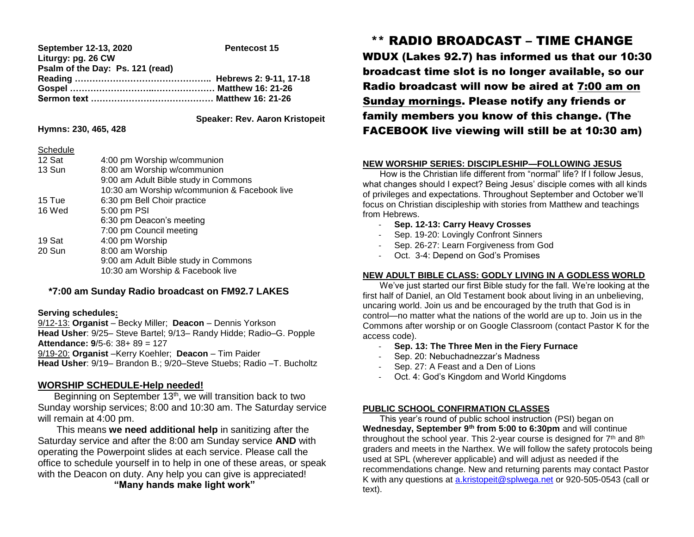| September 12-13, 2020            | <b>Pentecost 15</b> |
|----------------------------------|---------------------|
| Liturgy: pg. 26 CW               |                     |
| Psalm of the Day: Ps. 121 (read) |                     |
|                                  |                     |
|                                  |                     |
|                                  |                     |

 **Speaker: Rev. Aaron Kristopeit**

### **Hymns: 230, 465, 428**

 $\sim$  set and  $\sim$ 

| Schedule |                                              |
|----------|----------------------------------------------|
| 12 Sat   | 4:00 pm Worship w/communion                  |
| 13 Sun   | 8:00 am Worship w/communion                  |
|          | 9:00 am Adult Bible study in Commons         |
|          | 10:30 am Worship w/communion & Facebook live |
| 15 Tue   | 6:30 pm Bell Choir practice                  |
| 16 Wed   | 5:00 pm PSI                                  |
|          | 6:30 pm Deacon's meeting                     |
|          | 7:00 pm Council meeting                      |
| 19 Sat   | 4:00 pm Worship                              |
| 20 Sun   | 8:00 am Worship                              |
|          | 9:00 am Adult Bible study in Commons         |
|          | 10:30 am Worship & Facebook live             |
|          |                                              |

# **\*7:00 am Sunday Radio broadcast on FM92.7 LAKES**

#### **Serving schedules:**

9/12-13: **Organist** – Becky Miller; **Deacon** – Dennis Yorkson **Head Usher**: 9/25– Steve Bartel; 9/13– Randy Hidde; Radio–G. Popple **Attendance: 9**/5-6: 38+ 89 = 127 9/19-20: **Organist** –Kerry Koehler; **Deacon** – Tim Paider **Head Usher**: 9/19– Brandon B.; 9/20–Steve Stuebs; Radio –T. Bucholtz

### **WORSHIP SCHEDULE-Help needed!**

Beginning on September 13<sup>th</sup>, we will transition back to two Sunday worship services; 8:00 and 10:30 am. The Saturday service will remain at 4:00 pm.

 This means **we need additional help** in sanitizing after the Saturday service and after the 8:00 am Sunday service **AND** with operating the Powerpoint slides at each service. Please call the office to schedule yourself in to help in one of these areas, or speak with the Deacon on duty. Any help you can give is appreciated! **"Many hands make light work"**

\*\* RADIO BROADCAST – TIME CHANGE

WDUX (Lakes 92.7) has informed us that our 10:30 broadcast time slot is no longer available, so our Radio broadcast will now be aired at 7:00 am on Sunday mornings. Please notify any friends or family members you know of this change. (The FACEBOOK live viewing will still be at 10:30 am)

## **NEW WORSHIP SERIES: DISCIPLESHIP—FOLLOWING JESUS**

 How is the Christian life different from "normal" life? If I follow Jesus, what changes should I expect? Being Jesus' disciple comes with all kinds of privileges and expectations. Throughout September and October we'll focus on Christian discipleship with stories from Matthew and teachings from Hebrews.

- **Sep. 12-13: Carry Heavy Crosses**
- Sep. 19-20: Lovingly Confront Sinners
- Sep. 26-27: Learn Forgiveness from God
- Oct. 3-4: Depend on God's Promises

### **NEW ADULT BIBLE CLASS: GODLY LIVING IN A GODLESS WORLD**

 We've just started our first Bible study for the fall. We're looking at the first half of Daniel, an Old Testament book about living in an unbelieving, uncaring world. Join us and be encouraged by the truth that God is in control—no matter what the nations of the world are up to. Join us in the Commons after worship or on Google Classroom (contact Pastor K for the access code).

- **Sep. 13: The Three Men in the Fiery Furnace**
- Sep. 20: Nebuchadnezzar's Madness
- Sep. 27: A Feast and a Den of Lions
- Oct. 4: God's Kingdom and World Kingdoms

### **PUBLIC SCHOOL CONFIRMATION CLASSES**

 This year's round of public school instruction (PSI) began on **Wednesday, September 9th from 5:00 to 6:30pm** and will continue throughout the school year. This 2-year course is designed for  $7<sup>th</sup>$  and  $8<sup>th</sup>$ graders and meets in the Narthex. We will follow the safety protocols being used at SPL (wherever applicable) and will adjust as needed if the recommendations change. New and returning parents may contact Pastor K with any questions at [a.kristopeit@splwega.net](mailto:a.kristopeit@splwega.net) or 920-505-0543 (call or text).